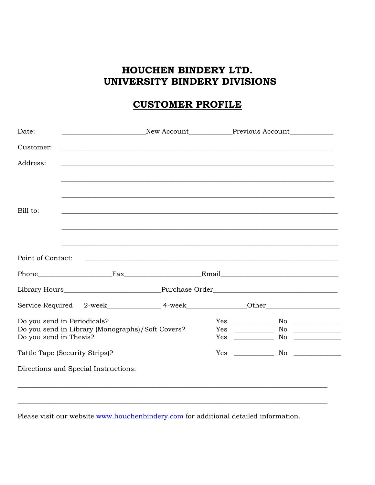# HOUCHEN BINDERY LTD. UNIVERSITY BINDERY DIVISIONS

# **CUSTOMER PROFILE**

| Date:                                |                                                  |  | <b>Example 2018</b> New Account <b>Example 2018</b> Previous Account                                                  |  |
|--------------------------------------|--------------------------------------------------|--|-----------------------------------------------------------------------------------------------------------------------|--|
| Customer:                            |                                                  |  |                                                                                                                       |  |
| Address:                             |                                                  |  |                                                                                                                       |  |
|                                      |                                                  |  |                                                                                                                       |  |
|                                      |                                                  |  |                                                                                                                       |  |
| Bill to:                             |                                                  |  |                                                                                                                       |  |
|                                      |                                                  |  |                                                                                                                       |  |
|                                      |                                                  |  |                                                                                                                       |  |
| Point of Contact:                    |                                                  |  | <u> 1990 - John Harry Harry Harry Harry Harry Harry Harry Harry Harry Harry Harry Harry Harry Harry Harry Harry H</u> |  |
|                                      |                                                  |  |                                                                                                                       |  |
|                                      |                                                  |  |                                                                                                                       |  |
|                                      |                                                  |  | Service Required 2-week______________________4-week______________________________                                     |  |
| Do you send in Periodicals?          |                                                  |  |                                                                                                                       |  |
| Do you send in Thesis?               | Do you send in Library (Monographs)/Soft Covers? |  |                                                                                                                       |  |
| Tattle Tape (Security Strips)?       |                                                  |  | $Yes$ No $\_\_$                                                                                                       |  |
| Directions and Special Instructions: |                                                  |  |                                                                                                                       |  |
|                                      |                                                  |  |                                                                                                                       |  |
|                                      |                                                  |  |                                                                                                                       |  |

Please visit our website www.houchenbindery.com for additional detailed information.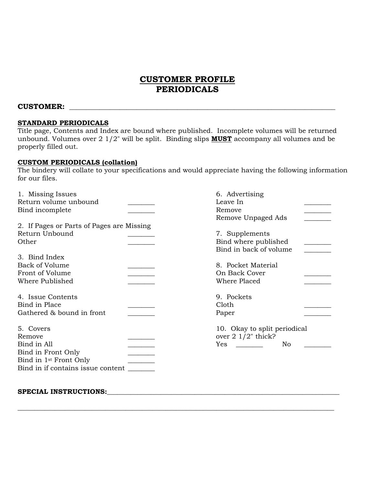### **CUSTOMER PROFILE PERIODICALS**

### $\text{CUSTOMER:}$

### **STANDARD PERIODICALS**

Title page, Contents and Index are bound where published. Incomplete volumes will be returned unbound. Volumes over 2 1/2" will be split. Binding slips **MUST** accompany all volumes and be properly filled out.

### **CUSTOM PERIODICALS (collation)**

The bindery will collate to your specifications and would appreciate having the following information for our files.

| 1. Missing Issues                         | 6. Advertising               |
|-------------------------------------------|------------------------------|
| Return volume unbound                     | Leave In                     |
| Bind incomplete                           | Remove                       |
|                                           | Remove Unpaged Ads           |
| 2. If Pages or Parts of Pages are Missing |                              |
| Return Unbound                            | 7. Supplements               |
| Other                                     | Bind where published         |
|                                           | Bind in back of volume       |
| 3. Bind Index                             |                              |
| <b>Back of Volume</b>                     | 8. Pocket Material           |
| Front of Volume                           | On Back Cover                |
| Where Published                           | Where Placed                 |
|                                           |                              |
| 4. Issue Contents                         | 9. Pockets                   |
| Bind in Place                             | Cloth                        |
| Gathered & bound in front                 | Paper                        |
| 5. Covers                                 | 10. Okay to split periodical |
| Remove                                    | over $2 \frac{1}{2}$ thick?  |
| Bind in All                               | Yes<br>No                    |
| Bind in Front Only                        |                              |
| Bind in 1 <sup>st</sup> Front Only        |                              |
| Bind in if contains issue content         |                              |
|                                           |                              |
|                                           |                              |

\_\_\_\_\_\_\_\_\_\_\_\_\_\_\_\_\_\_\_\_\_\_\_\_\_\_\_\_\_\_\_\_\_\_\_\_\_\_\_\_\_\_\_\_\_\_\_\_\_\_\_\_\_\_\_\_\_\_\_\_\_\_\_\_\_\_\_\_\_\_\_\_\_\_\_\_\_\_\_\_\_\_\_\_\_\_\_\_\_\_\_\_\_\_

#### SPECIAL INSTRUCTIONS: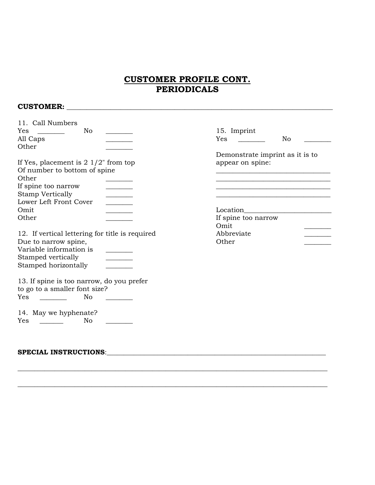## **CUSTOMER PROFILE CONT. PERIODICALS**

### **CUSTOMER:** \_\_\_\_\_\_\_\_\_\_\_\_\_\_\_\_\_\_\_\_\_\_\_\_\_\_\_\_\_\_\_\_\_\_\_\_\_\_\_\_\_\_\_\_\_\_\_\_\_\_\_\_\_\_\_\_\_\_\_\_\_\_\_\_\_\_\_\_\_\_\_\_\_\_\_\_\_\_\_

| 11. Call Numbers<br>Yes<br>No                                              | 15. Imprint                     |
|----------------------------------------------------------------------------|---------------------------------|
| All Caps                                                                   | No<br>Yes                       |
| Other                                                                      |                                 |
|                                                                            | Demonstrate imprint as it is to |
| If Yes, placement is $2 \frac{1}{2}$ from top                              | appear on spine:                |
| Of number to bottom of spine                                               |                                 |
| Other                                                                      |                                 |
| If spine too narrow                                                        |                                 |
| <b>Stamp Vertically</b>                                                    |                                 |
| Lower Left Front Cover                                                     |                                 |
| Omit                                                                       | Location                        |
| Other                                                                      | If spine too narrow             |
|                                                                            | Omit                            |
| 12. If vertical lettering for title is required                            | Abbreviate                      |
| Due to narrow spine,                                                       | Other                           |
| Variable information is                                                    |                                 |
| Stamped vertically                                                         |                                 |
| Stamped horizontally                                                       |                                 |
| 13. If spine is too narrow, do you prefer<br>to go to a smaller font size? |                                 |
| Yes<br>No                                                                  |                                 |
| 14. May we hyphenate?<br>Yes<br>No                                         |                                 |
|                                                                            |                                 |

\_\_\_\_\_\_\_\_\_\_\_\_\_\_\_\_\_\_\_\_\_\_\_\_\_\_\_\_\_\_\_\_\_\_\_\_\_\_\_\_\_\_\_\_\_\_\_\_\_\_\_\_\_\_\_\_\_\_\_\_\_\_\_\_\_\_\_\_\_\_\_\_\_\_\_\_\_\_\_\_\_\_\_\_\_\_\_\_\_\_\_\_

\_\_\_\_\_\_\_\_\_\_\_\_\_\_\_\_\_\_\_\_\_\_\_\_\_\_\_\_\_\_\_\_\_\_\_\_\_\_\_\_\_\_\_\_\_\_\_\_\_\_\_\_\_\_\_\_\_\_\_\_\_\_\_\_\_\_\_\_\_\_\_\_\_\_\_\_\_\_\_\_\_\_\_\_\_\_\_\_\_\_\_\_

### **SPECIAL INSTRUCTIONS**:\_\_\_\_\_\_\_\_\_\_\_\_\_\_\_\_\_\_\_\_\_\_\_\_\_\_\_\_\_\_\_\_\_\_\_\_\_\_\_\_\_\_\_\_\_\_\_\_\_\_\_\_\_\_\_\_\_\_\_\_\_\_\_\_\_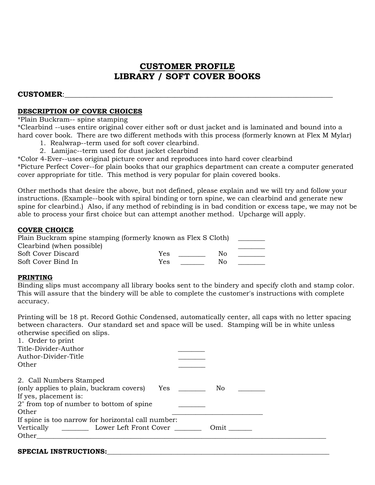## **CUSTOMER PROFILE LIBRARY / SOFT COVER BOOKS**

### **CUSTOMER**:\_\_\_\_\_\_\_\_\_\_\_\_\_\_\_\_\_\_\_\_\_\_\_\_\_\_\_\_\_\_\_\_\_\_\_\_\_\_\_\_\_\_\_\_\_\_\_\_\_\_\_\_\_\_\_\_\_\_\_\_\_\_\_\_\_\_\_\_\_\_\_\_\_

### **DESCRIPTION OF COVER CHOICES**

\*Plain Buckram-- spine stamping

\*Clearbind --uses entire original cover either soft or dust jacket and is laminated and bound into a hard cover book. There are two different methods with this process (formerly known at Flex M Mylar)

- 1. Realwrap--term used for soft cover clearbind.
- 2. Lamijac--term used for dust jacket clearbind

\*Color 4-Ever--uses original picture cover and reproduces into hard cover clearbind

\*Picture Perfect Cover--for plain books that our graphics department can create a computer generated cover appropriate for title. This method is very popular for plain covered books.

Other methods that desire the above, but not defined, please explain and we will try and follow your instructions. (Example--book with spiral binding or torn spine, we can clearbind and generate new spine for clearbind.) Also, if any method of rebinding is in bad condition or excess tape, we may not be able to process your first choice but can attempt another method. Upcharge will apply.

### **COVER CHOICE**

| Plain Buckram spine stamping (formerly known as Flex S Cloth) |            |    |  |
|---------------------------------------------------------------|------------|----|--|
| Clearbind (when possible)                                     |            |    |  |
| Soft Cover Discard                                            | Yes        | N٥ |  |
| Soft Cover Bind In                                            | <b>Yes</b> | Nο |  |

### **PRINTING**

Binding slips must accompany all library books sent to the bindery and specify cloth and stamp color. This will assure that the bindery will be able to complete the customer's instructions with complete accuracy.

Printing will be 18 pt. Record Gothic Condensed, automatically center, all caps with no letter spacing between characters. Our standard set and space will be used. Stamping will be in white unless otherwise specified on slips.

| 1. Order to print                                  |            |  |
|----------------------------------------------------|------------|--|
| Title-Divider-Author                               |            |  |
| Author-Divider-Title                               |            |  |
| Other                                              |            |  |
| 2. Call Numbers Stamped                            |            |  |
| (only applies to plain, buckram covers)            | Yes<br>No. |  |
| If yes, placement is:                              |            |  |
| 2" from top of number to bottom of spine           |            |  |
| Other                                              |            |  |
| If spine is too narrow for horizontal call number: |            |  |
| Vertically Lower Left Front Cover<br>Omit          |            |  |
| Other                                              |            |  |
|                                                    |            |  |

### SPECIAL INSTRUCTIONS: